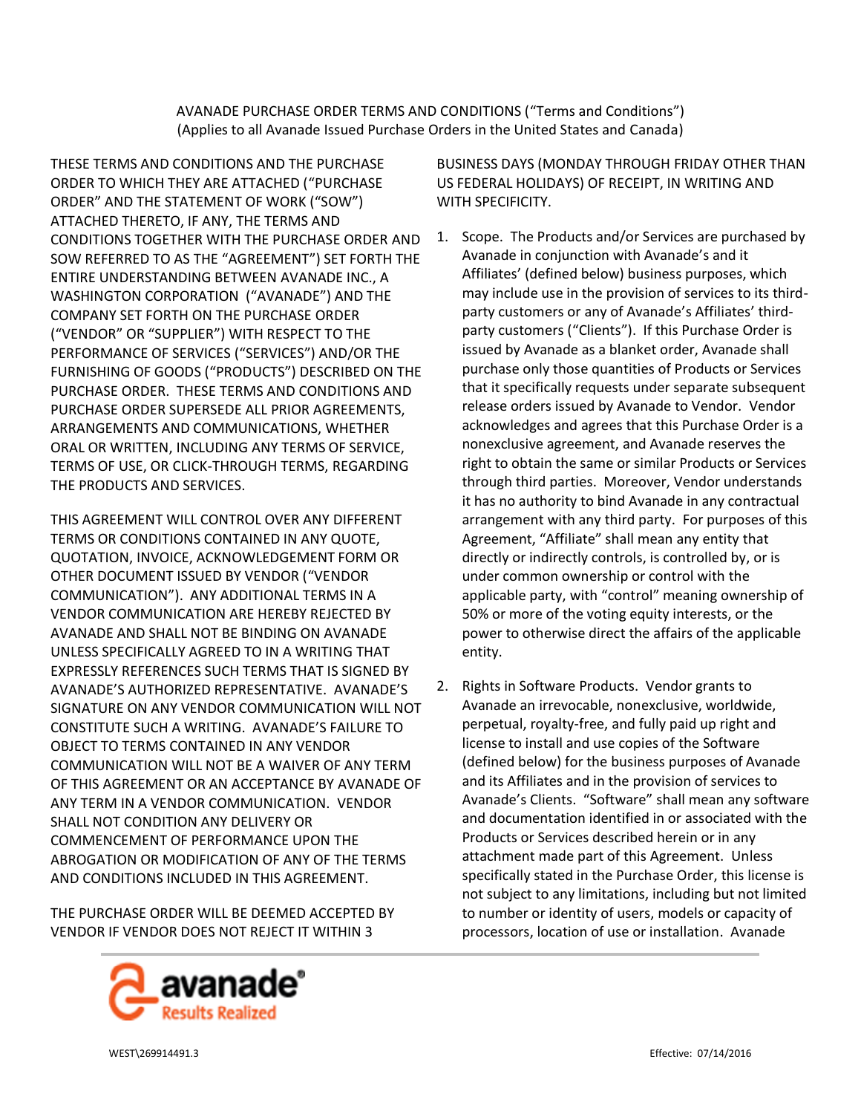AVANADE PURCHASE ORDER TERMS AND CONDITIONS ("Terms and Conditions") (Applies to all Avanade Issued Purchase Orders in the United States and Canada)

THESE TERMS AND CONDITIONS AND THE PURCHASE ORDER TO WHICH THEY ARE ATTACHED ("PURCHASE ORDER" AND THE STATEMENT OF WORK ("SOW") ATTACHED THERETO, IF ANY, THE TERMS AND CONDITIONS TOGETHER WITH THE PURCHASE ORDER AND SOW REFERRED TO AS THE "AGREEMENT") SET FORTH THE ENTIRE UNDERSTANDING BETWEEN AVANADE INC., A WASHINGTON CORPORATION ("AVANADE") AND THE COMPANY SET FORTH ON THE PURCHASE ORDER ("VENDOR" OR "SUPPLIER") WITH RESPECT TO THE PERFORMANCE OF SERVICES ("SERVICES") AND/OR THE FURNISHING OF GOODS ("PRODUCTS") DESCRIBED ON THE PURCHASE ORDER. THESE TERMS AND CONDITIONS AND PURCHASE ORDER SUPERSEDE ALL PRIOR AGREEMENTS, ARRANGEMENTS AND COMMUNICATIONS, WHETHER ORAL OR WRITTEN, INCLUDING ANY TERMS OF SERVICE, TERMS OF USE, OR CLICK-THROUGH TERMS, REGARDING THE PRODUCTS AND SERVICES.

THIS AGREEMENT WILL CONTROL OVER ANY DIFFERENT TERMS OR CONDITIONS CONTAINED IN ANY QUOTE, QUOTATION, INVOICE, ACKNOWLEDGEMENT FORM OR OTHER DOCUMENT ISSUED BY VENDOR ("VENDOR COMMUNICATION"). ANY ADDITIONAL TERMS IN A VENDOR COMMUNICATION ARE HEREBY REJECTED BY AVANADE AND SHALL NOT BE BINDING ON AVANADE UNLESS SPECIFICALLY AGREED TO IN A WRITING THAT EXPRESSLY REFERENCES SUCH TERMS THAT IS SIGNED BY AVANADE'S AUTHORIZED REPRESENTATIVE. AVANADE'S SIGNATURE ON ANY VENDOR COMMUNICATION WILL NOT CONSTITUTE SUCH A WRITING. AVANADE'S FAILURE TO OBJECT TO TERMS CONTAINED IN ANY VENDOR COMMUNICATION WILL NOT BE A WAIVER OF ANY TERM OF THIS AGREEMENT OR AN ACCEPTANCE BY AVANADE OF ANY TERM IN A VENDOR COMMUNICATION. VENDOR SHALL NOT CONDITION ANY DELIVERY OR COMMENCEMENT OF PERFORMANCE UPON THE ABROGATION OR MODIFICATION OF ANY OF THE TERMS AND CONDITIONS INCLUDED IN THIS AGREEMENT.

THE PURCHASE ORDER WILL BE DEEMED ACCEPTED BY VENDOR IF VENDOR DOES NOT REJECT IT WITHIN 3



BUSINESS DAYS (MONDAY THROUGH FRIDAY OTHER THAN US FEDERAL HOLIDAYS) OF RECEIPT, IN WRITING AND WITH SPECIFICITY.

- 1. Scope. The Products and/or Services are purchased by Avanade in conjunction with Avanade's and it Affiliates' (defined below) business purposes, which may include use in the provision of services to its thirdparty customers or any of Avanade's Affiliates' thirdparty customers ("Clients"). If this Purchase Order is issued by Avanade as a blanket order, Avanade shall purchase only those quantities of Products or Services that it specifically requests under separate subsequent release orders issued by Avanade to Vendor. Vendor acknowledges and agrees that this Purchase Order is a nonexclusive agreement, and Avanade reserves the right to obtain the same or similar Products or Services through third parties. Moreover, Vendor understands it has no authority to bind Avanade in any contractual arrangement with any third party. For purposes of this Agreement, "Affiliate" shall mean any entity that directly or indirectly controls, is controlled by, or is under common ownership or control with the applicable party, with "control" meaning ownership of 50% or more of the voting equity interests, or the power to otherwise direct the affairs of the applicable entity.
- 2. Rights in Software Products. Vendor grants to Avanade an irrevocable, nonexclusive, worldwide, perpetual, royalty-free, and fully paid up right and license to install and use copies of the Software (defined below) for the business purposes of Avanade and its Affiliates and in the provision of services to Avanade's Clients. "Software" shall mean any software and documentation identified in or associated with the Products or Services described herein or in any attachment made part of this Agreement. Unless specifically stated in the Purchase Order, this license is not subject to any limitations, including but not limited to number or identity of users, models or capacity of processors, location of use or installation. Avanade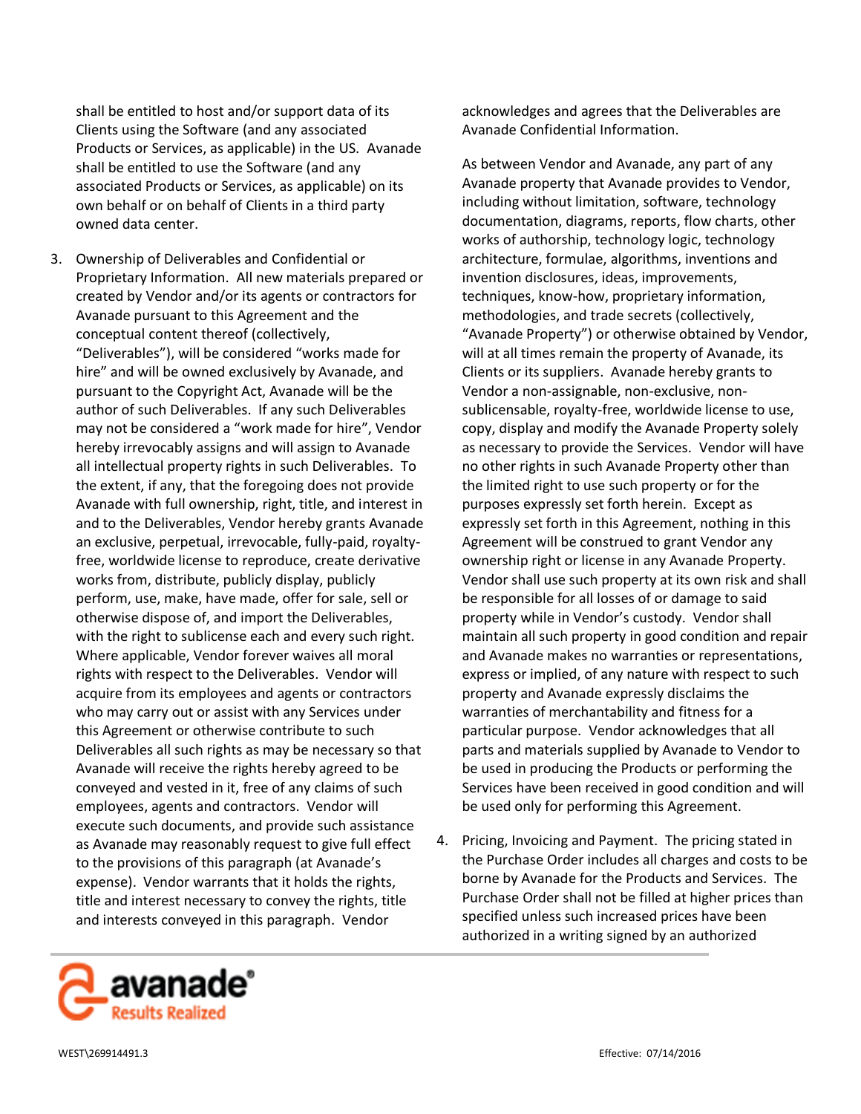shall be entitled to host and/or support data of its Clients using the Software (and any associated Products or Services, as applicable) in the US. Avanade shall be entitled to use the Software (and any associated Products or Services, as applicable) on its own behalf or on behalf of Clients in a third party owned data center.

3. Ownership of Deliverables and Confidential or Proprietary Information. All new materials prepared or created by Vendor and/or its agents or contractors for Avanade pursuant to this Agreement and the conceptual content thereof (collectively, "Deliverables"), will be considered "works made for hire" and will be owned exclusively by Avanade, and pursuant to the Copyright Act, Avanade will be the author of such Deliverables. If any such Deliverables may not be considered a "work made for hire", Vendor hereby irrevocably assigns and will assign to Avanade all intellectual property rights in such Deliverables. To the extent, if any, that the foregoing does not provide Avanade with full ownership, right, title, and interest in and to the Deliverables, Vendor hereby grants Avanade an exclusive, perpetual, irrevocable, fully-paid, royaltyfree, worldwide license to reproduce, create derivative works from, distribute, publicly display, publicly perform, use, make, have made, offer for sale, sell or otherwise dispose of, and import the Deliverables, with the right to sublicense each and every such right. Where applicable, Vendor forever waives all moral rights with respect to the Deliverables. Vendor will acquire from its employees and agents or contractors who may carry out or assist with any Services under this Agreement or otherwise contribute to such Deliverables all such rights as may be necessary so that Avanade will receive the rights hereby agreed to be conveyed and vested in it, free of any claims of such employees, agents and contractors. Vendor will execute such documents, and provide such assistance as Avanade may reasonably request to give full effect to the provisions of this paragraph (at Avanade's expense). Vendor warrants that it holds the rights, title and interest necessary to convey the rights, title and interests conveyed in this paragraph. Vendor

acknowledges and agrees that the Deliverables are Avanade Confidential Information.

As between Vendor and Avanade, any part of any Avanade property that Avanade provides to Vendor, including without limitation, software, technology documentation, diagrams, reports, flow charts, other works of authorship, technology logic, technology architecture, formulae, algorithms, inventions and invention disclosures, ideas, improvements, techniques, know-how, proprietary information, methodologies, and trade secrets (collectively, "Avanade Property") or otherwise obtained by Vendor, will at all times remain the property of Avanade, its Clients or its suppliers. Avanade hereby grants to Vendor a non-assignable, non-exclusive, nonsublicensable, royalty-free, worldwide license to use, copy, display and modify the Avanade Property solely as necessary to provide the Services. Vendor will have no other rights in such Avanade Property other than the limited right to use such property or for the purposes expressly set forth herein. Except as expressly set forth in this Agreement, nothing in this Agreement will be construed to grant Vendor any ownership right or license in any Avanade Property. Vendor shall use such property at its own risk and shall be responsible for all losses of or damage to said property while in Vendor's custody. Vendor shall maintain all such property in good condition and repair and Avanade makes no warranties or representations, express or implied, of any nature with respect to such property and Avanade expressly disclaims the warranties of merchantability and fitness for a particular purpose. Vendor acknowledges that all parts and materials supplied by Avanade to Vendor to be used in producing the Products or performing the Services have been received in good condition and will be used only for performing this Agreement.

4. Pricing, Invoicing and Payment. The pricing stated in the Purchase Order includes all charges and costs to be borne by Avanade for the Products and Services. The Purchase Order shall not be filled at higher prices than specified unless such increased prices have been authorized in a writing signed by an authorized

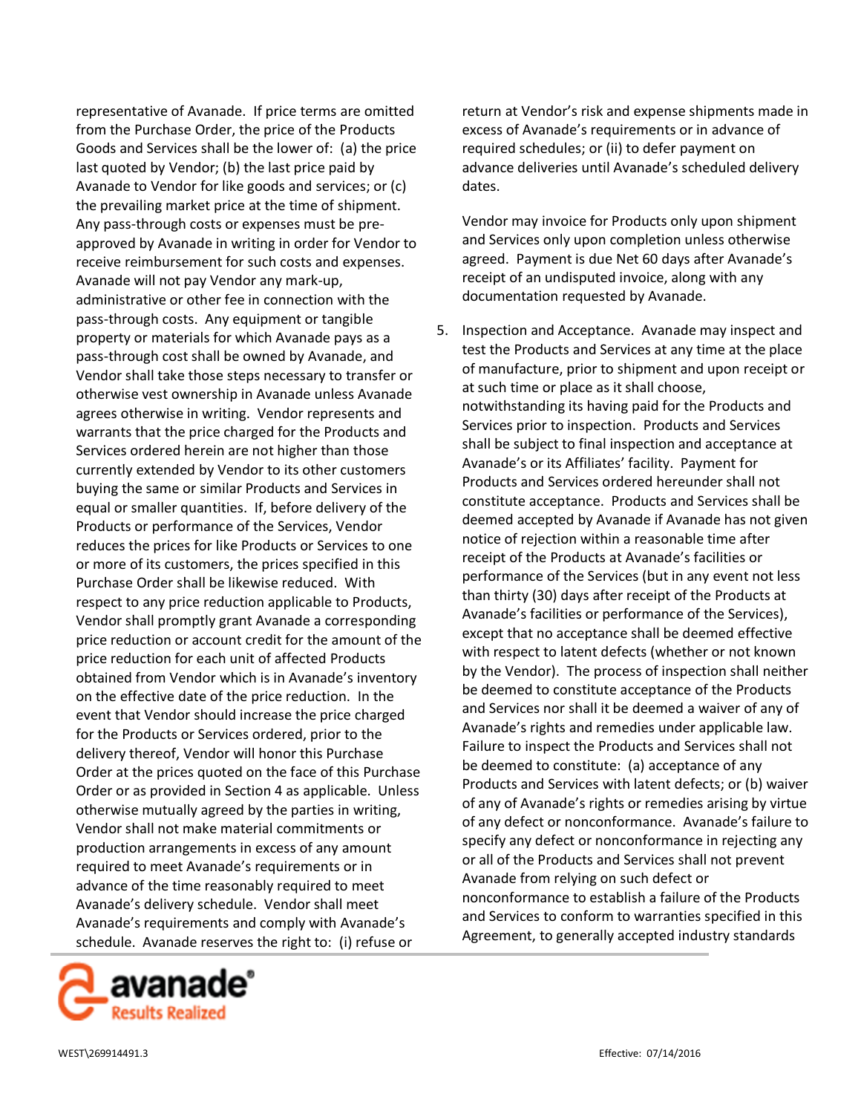representative of Avanade. If price terms are omitted from the Purchase Order, the price of the Products Goods and Services shall be the lower of: (a) the price last quoted by Vendor; (b) the last price paid by Avanade to Vendor for like goods and services; or (c) the prevailing market price at the time of shipment. Any pass-through costs or expenses must be preapproved by Avanade in writing in order for Vendor to receive reimbursement for such costs and expenses. Avanade will not pay Vendor any mark-up, administrative or other fee in connection with the pass-through costs. Any equipment or tangible property or materials for which Avanade pays as a pass-through cost shall be owned by Avanade, and Vendor shall take those steps necessary to transfer or otherwise vest ownership in Avanade unless Avanade agrees otherwise in writing. Vendor represents and warrants that the price charged for the Products and Services ordered herein are not higher than those currently extended by Vendor to its other customers buying the same or similar Products and Services in equal or smaller quantities. If, before delivery of the Products or performance of the Services, Vendor reduces the prices for like Products or Services to one or more of its customers, the prices specified in this Purchase Order shall be likewise reduced. With respect to any price reduction applicable to Products, Vendor shall promptly grant Avanade a corresponding price reduction or account credit for the amount of the price reduction for each unit of affected Products obtained from Vendor which is in Avanade's inventory on the effective date of the price reduction. In the event that Vendor should increase the price charged for the Products or Services ordered, prior to the delivery thereof, Vendor will honor this Purchase Order at the prices quoted on the face of this Purchase Order or as provided in Section 4 as applicable. Unless otherwise mutually agreed by the parties in writing, Vendor shall not make material commitments or production arrangements in excess of any amount required to meet Avanade's requirements or in advance of the time reasonably required to meet Avanade's delivery schedule. Vendor shall meet Avanade's requirements and comply with Avanade's schedule. Avanade reserves the right to: (i) refuse or



return at Vendor's risk and expense shipments made in excess of Avanade's requirements or in advance of required schedules; or (ii) to defer payment on advance deliveries until Avanade's scheduled delivery dates.

Vendor may invoice for Products only upon shipment and Services only upon completion unless otherwise agreed. Payment is due Net 60 days after Avanade's receipt of an undisputed invoice, along with any documentation requested by Avanade.

5. Inspection and Acceptance. Avanade may inspect and test the Products and Services at any time at the place of manufacture, prior to shipment and upon receipt or at such time or place as it shall choose, notwithstanding its having paid for the Products and Services prior to inspection. Products and Services shall be subject to final inspection and acceptance at Avanade's or its Affiliates' facility. Payment for Products and Services ordered hereunder shall not constitute acceptance. Products and Services shall be deemed accepted by Avanade if Avanade has not given notice of rejection within a reasonable time after receipt of the Products at Avanade's facilities or performance of the Services (but in any event not less than thirty (30) days after receipt of the Products at Avanade's facilities or performance of the Services), except that no acceptance shall be deemed effective with respect to latent defects (whether or not known by the Vendor). The process of inspection shall neither be deemed to constitute acceptance of the Products and Services nor shall it be deemed a waiver of any of Avanade's rights and remedies under applicable law. Failure to inspect the Products and Services shall not be deemed to constitute: (a) acceptance of any Products and Services with latent defects; or (b) waiver of any of Avanade's rights or remedies arising by virtue of any defect or nonconformance. Avanade's failure to specify any defect or nonconformance in rejecting any or all of the Products and Services shall not prevent Avanade from relying on such defect or nonconformance to establish a failure of the Products and Services to conform to warranties specified in this Agreement, to generally accepted industry standards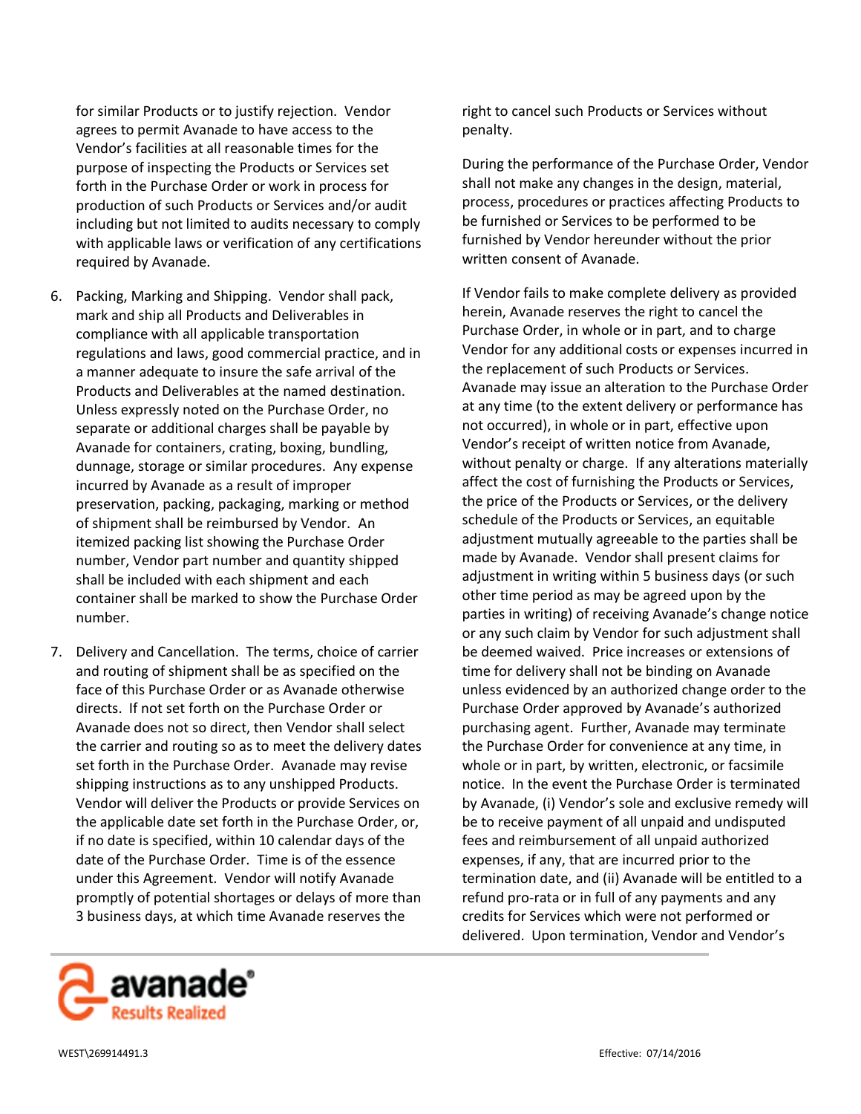for similar Products or to justify rejection. Vendor agrees to permit Avanade to have access to the Vendor's facilities at all reasonable times for the purpose of inspecting the Products or Services set forth in the Purchase Order or work in process for production of such Products or Services and/or audit including but not limited to audits necessary to comply with applicable laws or verification of any certifications required by Avanade.

- 6. Packing, Marking and Shipping. Vendor shall pack, mark and ship all Products and Deliverables in compliance with all applicable transportation regulations and laws, good commercial practice, and in a manner adequate to insure the safe arrival of the Products and Deliverables at the named destination. Unless expressly noted on the Purchase Order, no separate or additional charges shall be payable by Avanade for containers, crating, boxing, bundling, dunnage, storage or similar procedures. Any expense incurred by Avanade as a result of improper preservation, packing, packaging, marking or method of shipment shall be reimbursed by Vendor. An itemized packing list showing the Purchase Order number, Vendor part number and quantity shipped shall be included with each shipment and each container shall be marked to show the Purchase Order number.
- 7. Delivery and Cancellation. The terms, choice of carrier and routing of shipment shall be as specified on the face of this Purchase Order or as Avanade otherwise directs. If not set forth on the Purchase Order or Avanade does not so direct, then Vendor shall select the carrier and routing so as to meet the delivery dates set forth in the Purchase Order. Avanade may revise shipping instructions as to any unshipped Products. Vendor will deliver the Products or provide Services on the applicable date set forth in the Purchase Order, or, if no date is specified, within 10 calendar days of the date of the Purchase Order. Time is of the essence under this Agreement. Vendor will notify Avanade promptly of potential shortages or delays of more than 3 business days, at which time Avanade reserves the

right to cancel such Products or Services without penalty.

During the performance of the Purchase Order, Vendor shall not make any changes in the design, material, process, procedures or practices affecting Products to be furnished or Services to be performed to be furnished by Vendor hereunder without the prior written consent of Avanade.

If Vendor fails to make complete delivery as provided herein, Avanade reserves the right to cancel the Purchase Order, in whole or in part, and to charge Vendor for any additional costs or expenses incurred in the replacement of such Products or Services. Avanade may issue an alteration to the Purchase Order at any time (to the extent delivery or performance has not occurred), in whole or in part, effective upon Vendor's receipt of written notice from Avanade, without penalty or charge. If any alterations materially affect the cost of furnishing the Products or Services, the price of the Products or Services, or the delivery schedule of the Products or Services, an equitable adjustment mutually agreeable to the parties shall be made by Avanade. Vendor shall present claims for adjustment in writing within 5 business days (or such other time period as may be agreed upon by the parties in writing) of receiving Avanade's change notice or any such claim by Vendor for such adjustment shall be deemed waived. Price increases or extensions of time for delivery shall not be binding on Avanade unless evidenced by an authorized change order to the Purchase Order approved by Avanade's authorized purchasing agent. Further, Avanade may terminate the Purchase Order for convenience at any time, in whole or in part, by written, electronic, or facsimile notice. In the event the Purchase Order is terminated by Avanade, (i) Vendor's sole and exclusive remedy will be to receive payment of all unpaid and undisputed fees and reimbursement of all unpaid authorized expenses, if any, that are incurred prior to the termination date, and (ii) Avanade will be entitled to a refund pro-rata or in full of any payments and any credits for Services which were not performed or delivered. Upon termination, Vendor and Vendor's

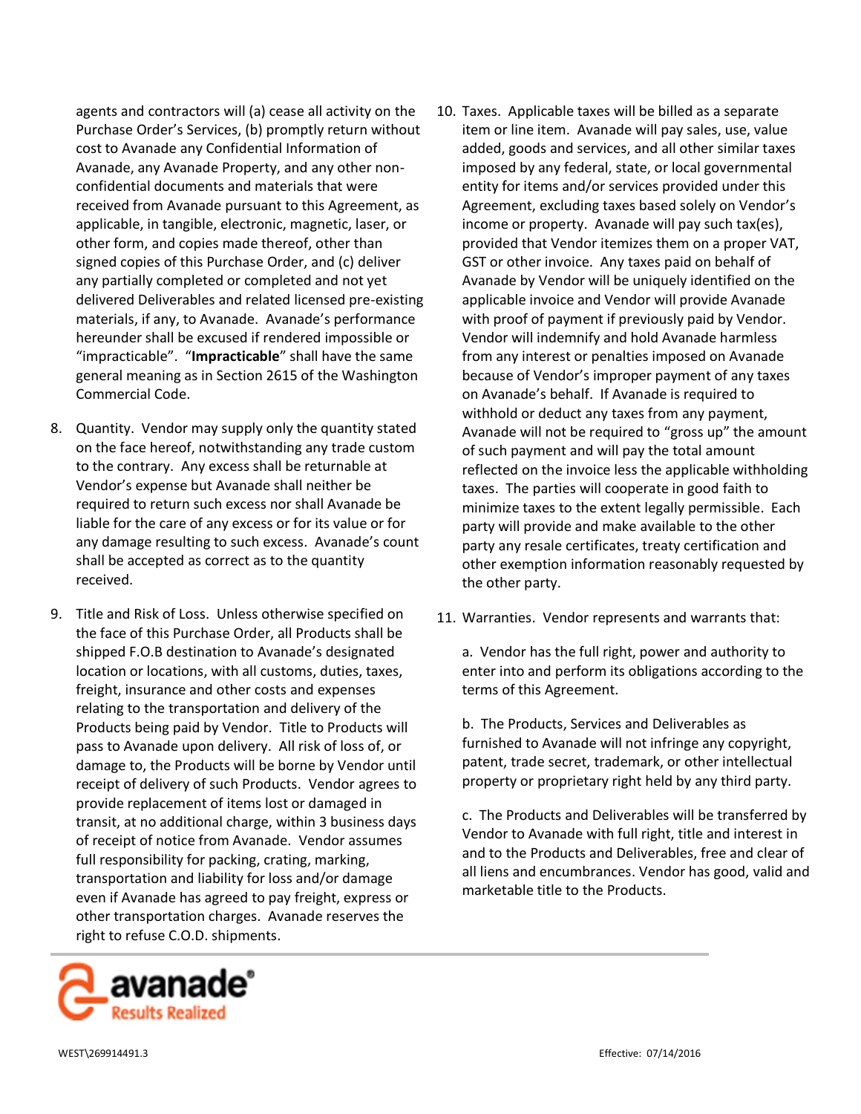agents and contractors will (a) cease all activity on the Purchase Order's Services, (b) promptly return without cost to Avanade any Confidential Information of Avanade, any Avanade Property, and any other nonconfidential documents and materials that were received from Avanade pursuant to this Agreement, as applicable, in tangible, electronic, magnetic, laser, or other form, and copies made thereof, other than signed copies of this Purchase Order, and (c) deliver any partially completed or completed and not yet delivered Deliverables and related licensed pre-existing materials, if any, to Avanade. Avanade's performance hereunder shall be excused if rendered impossible or "impracticable". "**Impracticable**" shall have the same general meaning as in Section 2615 of the Washington Commercial Code.

- 8. Quantity. Vendor may supply only the quantity stated on the face hereof, notwithstanding any trade custom to the contrary. Any excess shall be returnable at Vendor's expense but Avanade shall neither be required to return such excess nor shall Avanade be liable for the care of any excess or for its value or for any damage resulting to such excess. Avanade's count shall be accepted as correct as to the quantity received.
- 9. Title and Risk of Loss. Unless otherwise specified on the face of this Purchase Order, all Products shall be shipped F.O.B destination to Avanade's designated location or locations, with all customs, duties, taxes, freight, insurance and other costs and expenses relating to the transportation and delivery of the Products being paid by Vendor. Title to Products will pass to Avanade upon delivery. All risk of loss of, or damage to, the Products will be borne by Vendor until receipt of delivery of such Products. Vendor agrees to provide replacement of items lost or damaged in transit, at no additional charge, within 3 business days of receipt of notice from Avanade. Vendor assumes full responsibility for packing, crating, marking, transportation and liability for loss and/or damage even if Avanade has agreed to pay freight, express or other transportation charges. Avanade reserves the right to refuse C.O.D. shipments.



- 10. Taxes. Applicable taxes will be billed as a separate item or line item. Avanade will pay sales, use, value added, goods and services, and all other similar taxes imposed by any federal, state, or local governmental entity for items and/or services provided under this Agreement, excluding taxes based solely on Vendor's income or property. Avanade will pay such tax(es), provided that Vendor itemizes them on a proper VAT, GST or other invoice. Any taxes paid on behalf of Avanade by Vendor will be uniquely identified on the applicable invoice and Vendor will provide Avanade with proof of payment if previously paid by Vendor. Vendor will indemnify and hold Avanade harmless from any interest or penalties imposed on Avanade because of Vendor's improper payment of any taxes on Avanade's behalf. If Avanade is required to withhold or deduct any taxes from any payment, Avanade will not be required to "gross up" the amount of such payment and will pay the total amount reflected on the invoice less the applicable withholding taxes. The parties will cooperate in good faith to minimize taxes to the extent legally permissible. Each party will provide and make available to the other party any resale certificates, treaty certification and other exemption information reasonably requested by the other party.
- 11. Warranties. Vendor represents and warrants that:

a. Vendor has the full right, power and authority to enter into and perform its obligations according to the terms of this Agreement.

b. The Products, Services and Deliverables as furnished to Avanade will not infringe any copyright, patent, trade secret, trademark, or other intellectual property or proprietary right held by any third party.

c. The Products and Deliverables will be transferred by Vendor to Avanade with full right, title and interest in and to the Products and Deliverables, free and clear of all liens and encumbrances. Vendor has good, valid and marketable title to the Products.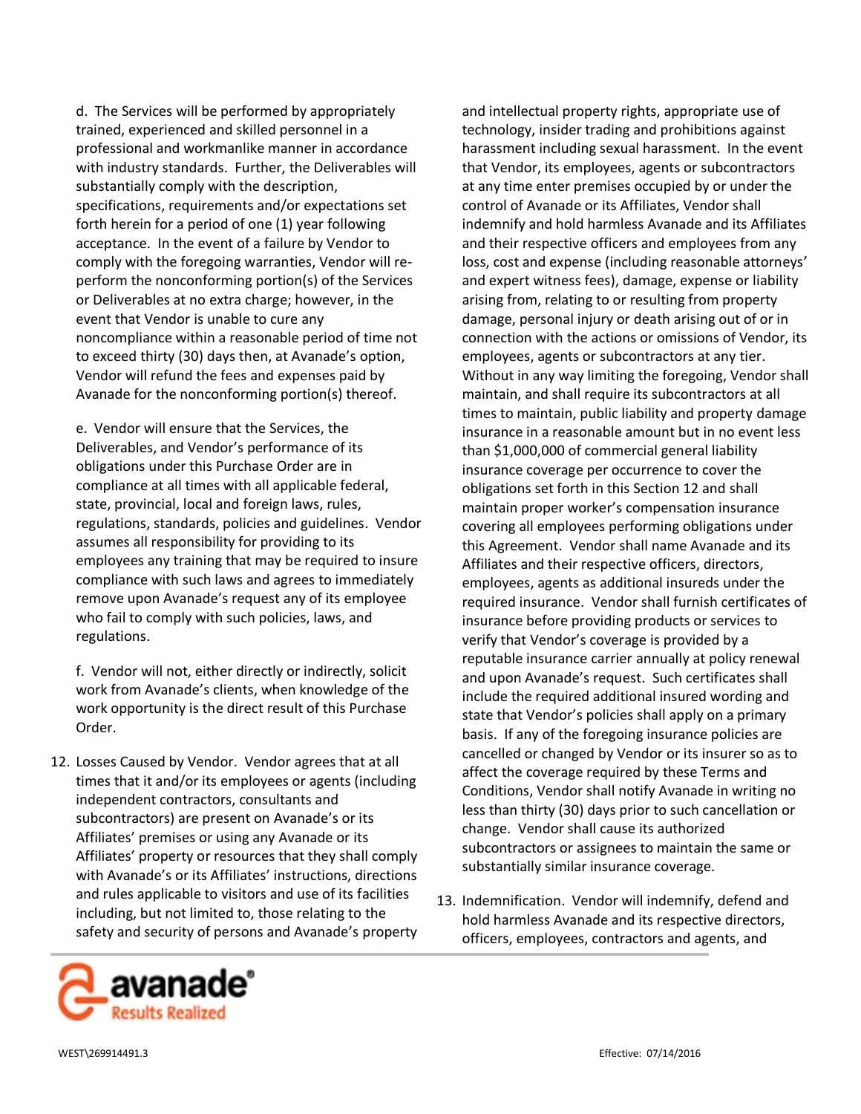d. The Services will be performed by appropriately trained, experienced and skilled personnel in a professional and workmanlike manner in accordance with industry standards. Further, the Deliverables will substantially comply with the description, specifications, requirements and/or expectations set forth herein for a period of one (1) year following acceptance. In the event of a failure by Vendor to comply with the foregoing warranties, Vendor will reperform the nonconforming portion(s) of the Services or Deliverables at no extra charge; however, in the event that Vendor is unable to cure any noncompliance within a reasonable period of time not to exceed thirty (30) days then, at Avanade's option, Vendor will refund the fees and expenses paid by Avanade for the nonconforming portion(s) thereof.

e. Vendor will ensure that the Services, the Deliverables, and Vendor's performance of its obligations under this Purchase Order are in compliance at all times with all applicable federal, state, provincial, local and foreign laws, rules, regulations, standards, policies and guidelines. Vendor assumes all responsibility for providing to its employees any training that may be required to insure compliance with such laws and agrees to immediately remove upon Avanade's request any of its employee who fail to comply with such policies, laws, and regulations.

f. Vendor will not, either directly or indirectly, solicit work from Avanade's clients, when knowledge of the work opportunity is the direct result of this Purchase Order.

12. Losses Caused by Vendor. Vendor agrees that at all times that it and/or its employees or agents (including independent contractors, consultants and subcontractors) are present on Avanade's or its Affiliates' premises or using any Avanade or its Affiliates' property or resources that they shall comply with Avanade's or its Affiliates' instructions, directions and rules applicable to visitors and use of its facilities including, but not limited to, those relating to the safety and security of persons and Avanade's property and intellectual property rights, appropriate use of technology, insider trading and prohibitions against harassment including sexual harassment. In the event that Vendor, its employees, agents or subcontractors at any time enter premises occupied by or under the control of Avanade or its Affiliates, Vendor shall indemnify and hold harmless Avanade and its Affiliates and their respective officers and employees from any loss, cost and expense (including reasonable attorneys' and expert witness fees), damage, expense or liability arising from, relating to or resulting from property damage, personal injury or death arising out of or in connection with the actions or omissions of Vendor, its employees, agents or subcontractors at any tier. Without in any way limiting the foregoing, Vendor shall maintain, and shall require its subcontractors at all times to maintain, public liability and property damage insurance in a reasonable amount but in no event less than \$1,000,000 of commercial general liability insurance coverage per occurrence to cover the obligations set forth in this Section 12 and shall maintain proper worker's compensation insurance covering all employees performing obligations under this Agreement. Vendor shall name Avanade and its Affiliates and their respective officers, directors, employees, agents as additional insureds under the required insurance. Vendor shall furnish certificates of insurance before providing products or services to verify that Vendor's coverage is provided by a reputable insurance carrier annually at policy renewal and upon Avanade's request. Such certificates shall include the required additional insured wording and state that Vendor's policies shall apply on a primary basis. If any of the foregoing insurance policies are cancelled or changed by Vendor or its insurer so as to affect the coverage required by these Terms and Conditions, Vendor shall notify Avanade in writing no less than thirty (30) days prior to such cancellation or change. Vendor shall cause its authorized subcontractors or assignees to maintain the same or substantially similar insurance coverage.

13. Indemnification. Vendor will indemnify, defend and hold harmless Avanade and its respective directors, officers, employees, contractors and agents, and

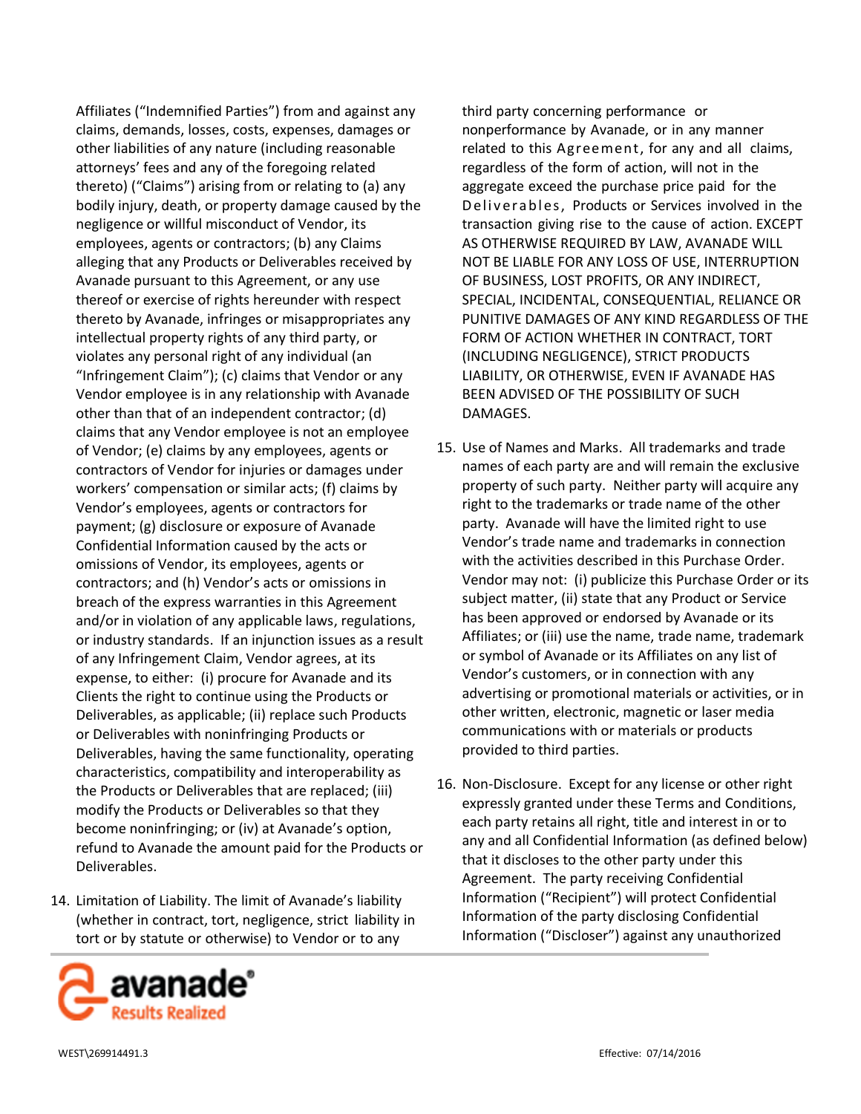Affiliates ("Indemnified Parties") from and against any claims, demands, losses, costs, expenses, damages or other liabilities of any nature (including reasonable attorneys' fees and any of the foregoing related thereto) ("Claims") arising from or relating to (a) any bodily injury, death, or property damage caused by the negligence or willful misconduct of Vendor, its employees, agents or contractors; (b) any Claims alleging that any Products or Deliverables received by Avanade pursuant to this Agreement, or any use thereof or exercise of rights hereunder with respect thereto by Avanade, infringes or misappropriates any intellectual property rights of any third party, or violates any personal right of any individual (an "Infringement Claim"); (c) claims that Vendor or any Vendor employee is in any relationship with Avanade other than that of an independent contractor; (d) claims that any Vendor employee is not an employee of Vendor; (e) claims by any employees, agents or contractors of Vendor for injuries or damages under workers' compensation or similar acts; (f) claims by Vendor's employees, agents or contractors for payment; (g) disclosure or exposure of Avanade Confidential Information caused by the acts or omissions of Vendor, its employees, agents or contractors; and (h) Vendor's acts or omissions in breach of the express warranties in this Agreement and/or in violation of any applicable laws, regulations, or industry standards. If an injunction issues as a result of any Infringement Claim, Vendor agrees, at its expense, to either: (i) procure for Avanade and its Clients the right to continue using the Products or Deliverables, as applicable; (ii) replace such Products or Deliverables with noninfringing Products or Deliverables, having the same functionality, operating characteristics, compatibility and interoperability as the Products or Deliverables that are replaced; (iii) modify the Products or Deliverables so that they become noninfringing; or (iv) at Avanade's option, refund to Avanade the amount paid for the Products or Deliverables.

14. Limitation of Liability. The limit of Avanade's liability (whether in contract, tort, negligence, strict liability in tort or by statute or otherwise) to Vendor or to any



third party concerning performance or nonperformance by Avanade, or in any manner related to this Agreement, for any and all claims, regardless of the form of action, will not in the aggregate exceed the purchase price paid for the Deliverables, Products or Services involved in the transaction giving rise to the cause of action. EXCEPT AS OTHERWISE REQUIRED BY LAW, AVANADE WILL NOT BE LIABLE FOR ANY LOSS OF USE, INTERRUPTION OF BUSINESS, LOST PROFITS, OR ANY INDIRECT, SPECIAL, INCIDENTAL, CONSEQUENTIAL, RELIANCE OR PUNITIVE DAMAGES OF ANY KIND REGARDLESS OF THE FORM OF ACTION WHETHER IN CONTRACT, TORT (INCLUDING NEGLIGENCE), STRICT PRODUCTS LIABILITY, OR OTHERWISE, EVEN IF AVANADE HAS BEEN ADVISED OF THE POSSIBILITY OF SUCH DAMAGES.

- 15. Use of Names and Marks. All trademarks and trade names of each party are and will remain the exclusive property of such party. Neither party will acquire any right to the trademarks or trade name of the other party. Avanade will have the limited right to use Vendor's trade name and trademarks in connection with the activities described in this Purchase Order. Vendor may not: (i) publicize this Purchase Order or its subject matter, (ii) state that any Product or Service has been approved or endorsed by Avanade or its Affiliates; or (iii) use the name, trade name, trademark or symbol of Avanade or its Affiliates on any list of Vendor's customers, or in connection with any advertising or promotional materials or activities, or in other written, electronic, magnetic or laser media communications with or materials or products provided to third parties.
- 16. Non-Disclosure. Except for any license or other right expressly granted under these Terms and Conditions, each party retains all right, title and interest in or to any and all Confidential Information (as defined below) that it discloses to the other party under this Agreement. The party receiving Confidential Information ("Recipient") will protect Confidential Information of the party disclosing Confidential Information ("Discloser") against any unauthorized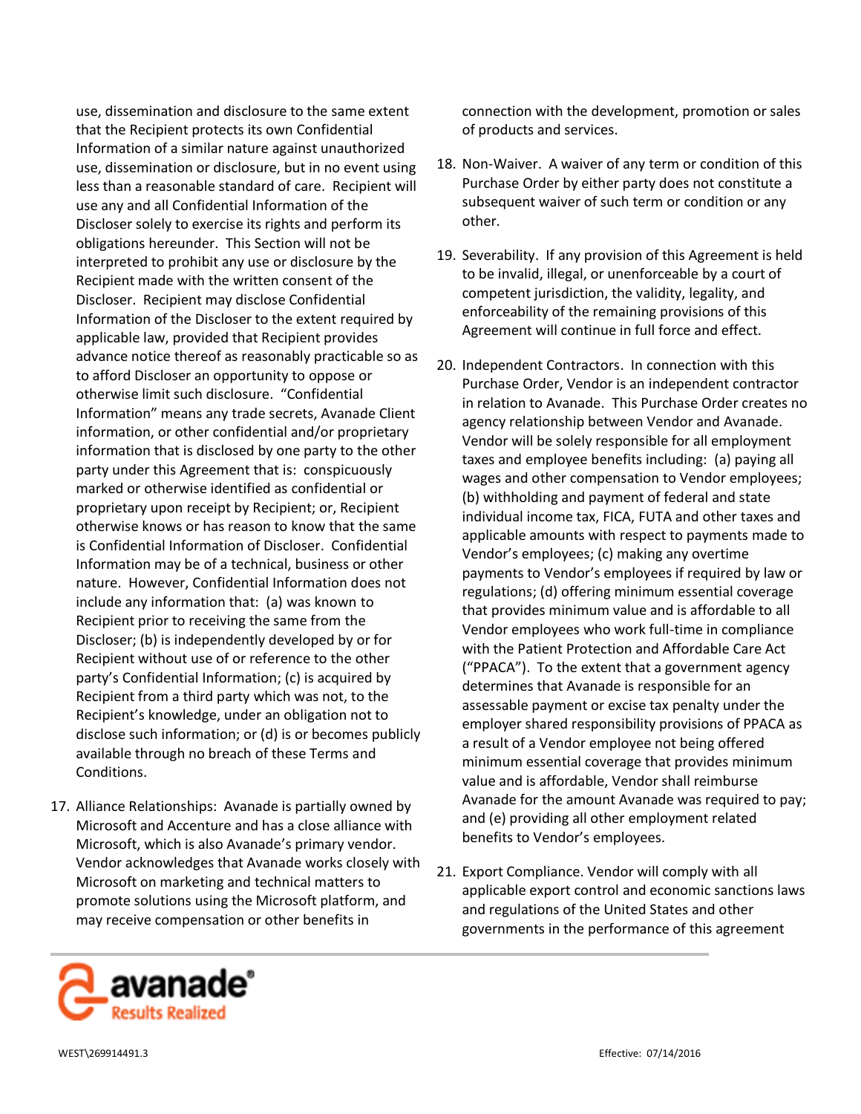use, dissemination and disclosure to the same extent that the Recipient protects its own Confidential Information of a similar nature against unauthorized use, dissemination or disclosure, but in no event using less than a reasonable standard of care. Recipient will use any and all Confidential Information of the Discloser solely to exercise its rights and perform its obligations hereunder. This Section will not be interpreted to prohibit any use or disclosure by the Recipient made with the written consent of the Discloser. Recipient may disclose Confidential Information of the Discloser to the extent required by applicable law, provided that Recipient provides advance notice thereof as reasonably practicable so as to afford Discloser an opportunity to oppose or otherwise limit such disclosure. "Confidential Information" means any trade secrets, Avanade Client information, or other confidential and/or proprietary information that is disclosed by one party to the other party under this Agreement that is: conspicuously marked or otherwise identified as confidential or proprietary upon receipt by Recipient; or, Recipient otherwise knows or has reason to know that the same is Confidential Information of Discloser. Confidential Information may be of a technical, business or other nature. However, Confidential Information does not include any information that: (a) was known to Recipient prior to receiving the same from the Discloser; (b) is independently developed by or for Recipient without use of or reference to the other party's Confidential Information; (c) is acquired by Recipient from a third party which was not, to the Recipient's knowledge, under an obligation not to disclose such information; or (d) is or becomes publicly available through no breach of these Terms and Conditions.

17. Alliance Relationships: Avanade is partially owned by Microsoft and Accenture and has a close alliance with Microsoft, which is also Avanade's primary vendor. Vendor acknowledges that Avanade works closely with Microsoft on marketing and technical matters to promote solutions using the Microsoft platform, and may receive compensation or other benefits in

connection with the development, promotion or sales of products and services.

- 18. Non-Waiver. A waiver of any term or condition of this Purchase Order by either party does not constitute a subsequent waiver of such term or condition or any other.
- 19. Severability. If any provision of this Agreement is held to be invalid, illegal, or unenforceable by a court of competent jurisdiction, the validity, legality, and enforceability of the remaining provisions of this Agreement will continue in full force and effect.
- 20. Independent Contractors. In connection with this Purchase Order, Vendor is an independent contractor in relation to Avanade. This Purchase Order creates no agency relationship between Vendor and Avanade. Vendor will be solely responsible for all employment taxes and employee benefits including: (a) paying all wages and other compensation to Vendor employees; (b) withholding and payment of federal and state individual income tax, FICA, FUTA and other taxes and applicable amounts with respect to payments made to Vendor's employees; (c) making any overtime payments to Vendor's employees if required by law or regulations; (d) offering minimum essential coverage that provides minimum value and is affordable to all Vendor employees who work full-time in compliance with the Patient Protection and Affordable Care Act ("PPACA"). To the extent that a government agency determines that Avanade is responsible for an assessable payment or excise tax penalty under the employer shared responsibility provisions of PPACA as a result of a Vendor employee not being offered minimum essential coverage that provides minimum value and is affordable, Vendor shall reimburse Avanade for the amount Avanade was required to pay; and (e) providing all other employment related benefits to Vendor's employees.
- 21. Export Compliance. Vendor will comply with all applicable export control and economic sanctions laws and regulations of the United States and other governments in the performance of this agreement